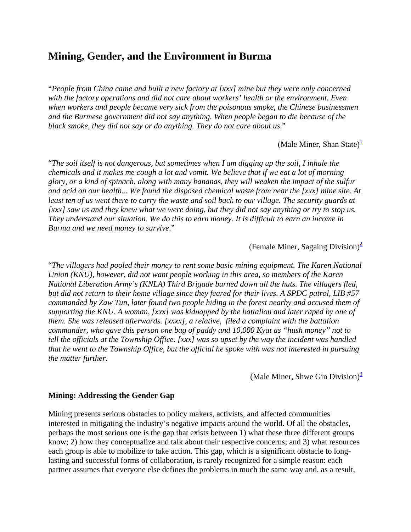# **Mining, Gender, and the Environment in Burma**

"*People from China came and built a new factory at [xxx] mine but they were only concerned with the factory operations and did not care about workers' health or the environment. Even when workers and people became very sick from the poisonous smoke, the Chinese businessmen and the Burmese government did not say anything. When people began to die because of the black smoke, they did not say or do anything. They do not care about us*."

(Male Miner, Shan State)<sup>1</sup>

"*The soil itself is not dangerous, but sometimes when I am digging up the soil, I inhale the chemicals and it makes me cough a lot and vomit. We believe that if we eat a lot of morning glory, or a kind of spinach, along with many bananas, they will weaken the impact of the sulfur and acid on our health... We found the disposed chemical waste from near the [xxx] mine site. At*  least ten of us went there to carry the waste and soil back to our village. The security guards at *[xxx] saw us and they knew what we were doing, but they did not say anything or try to stop us. They understand our situation. We do this to earn money. It is difficult to earn an income in Burma and we need money to survive*."

(Female Miner, Sagaing Division) $\frac{2}{3}$ 

"*The villagers had pooled their money to rent some basic mining equipment. The Karen National Union (KNU), however, did not want people working in this area, so members of the Karen National Liberation Army's (KNLA) Third Brigade burned down all the huts. The villagers fled, but did not return to their home village since they feared for their lives. A SPDC patrol, LIB #57 commanded by Zaw Tun, later found two people hiding in the forest nearby and accused them of supporting the KNU. A woman, [xxx] was kidnapped by the battalion and later raped by one of them. She was released afterwards. [xxxx], a relative, filed a complaint with the battalion commander, who gave this person one bag of paddy and 10,000 Kyat as "hush money" not to tell the officials at the Township Office. [xxx] was so upset by the way the incident was handled that he went to the Township Office, but the official he spoke with was not interested in pursuing the matter further*.

(Male Miner, Shwe Gin Division) $\frac{3}{2}$ 

#### **Mining: Addressing the Gender Gap**

Mining presents serious obstacles to policy makers, activists, and affected communities interested in mitigating the industry's negative impacts around the world. Of all the obstacles, perhaps the most serious one is the gap that exists between 1) what these three different groups know; 2) how they conceptualize and talk about their respective concerns; and 3) what resources each group is able to mobilize to take action. This gap, which is a significant obstacle to longlasting and successful forms of collaboration, is rarely recognized for a simple reason: each partner assumes that everyone else defines the problems in much the same way and, as a result,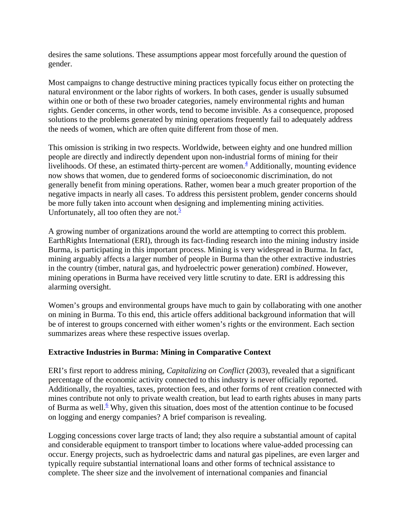desires the same solutions. These assumptions appear most forcefully around the question of gender.

Most campaigns to change destructive mining practices typically focus either on protecting the natural environment or the labor rights of workers. In both cases, gender is usually subsumed within one or both of these two broader categories, namely environmental rights and human rights. Gender concerns, in other words, tend to become invisible. As a consequence, proposed solutions to the problems generated by mining operations frequently fail to adequately address the needs of women, which are often quite different from those of men.

This omission is striking in two respects. Worldwide, between eighty and one hundred million people are directly and indirectly dependent upon non-industrial forms of mining for their  $\frac{1}{2}$  livelihoods. Of these, an estimated thirty-percent are women.<sup>4</sup> Additionally, mounting evidence now shows that women, due to gendered forms of socioeconomic discrimination, do not generally benefit from mining operations. Rather, women bear a much greater proportion of the negative impacts in nearly all cases. To address this persistent problem, gender concerns should be more fully taken into account when designing and implementing mining activities. Unfortunately, all too often they are not. $\frac{5}{5}$ 

A growing number of organizations around the world are attempting to correct this problem. EarthRights International (ERI), through its fact-finding research into the mining industry inside Burma, is participating in this important process. Mining is very widespread in Burma. In fact, mining arguably affects a larger number of people in Burma than the other extractive industries in the country (timber, natural gas, and hydroelectric power generation) *combined*. However, mining operations in Burma have received very little scrutiny to date. ERI is addressing this alarming oversight.

Women's groups and environmental groups have much to gain by collaborating with one another on mining in Burma. To this end, this article offers additional background information that will be of interest to groups concerned with either women's rights or the environment. Each section summarizes areas where these respective issues overlap.

#### **Extractive Industries in Burma: Mining in Comparative Context**

ERI's first report to address mining, *Capitalizing on Conflict* (2003), revealed that a significant percentage of the economic activity connected to this industry is never officially reported. Additionally, the royalties, taxes, protection fees, and other forms of rent creation connected with mines contribute not only to private wealth creation, but lead to earth rights abuses in many parts of Burma as well.<sup>6</sup> Why, given this situation, does most of the attention continue to be focused on logging and energy companies? A brief comparison is revealing.

Logging concessions cover large tracts of land; they also require a substantial amount of capital and considerable equipment to transport timber to locations where value-added processing can occur. Energy projects, such as hydroelectric dams and natural gas pipelines, are even larger and typically require substantial international loans and other forms of technical assistance to complete. The sheer size and the involvement of international companies and financial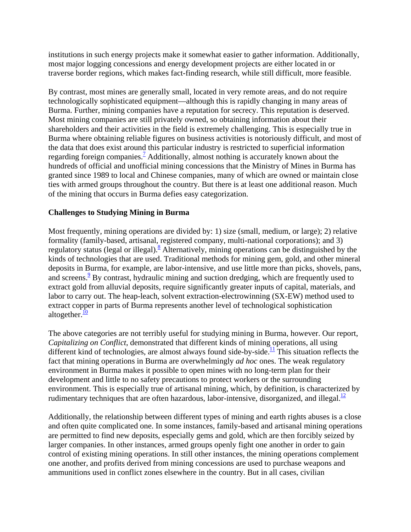institutions in such energy projects make it somewhat easier to gather information. Additionally, most major logging concessions and energy development projects are either located in or traverse border regions, which makes fact-finding research, while still difficult, more feasible.

By contrast, most mines are generally small, located in very remote areas, and do not require technologically sophisticated equipment—although this is rapidly changing in many areas of Burma. Further, mining companies have a reputation for secrecy. This reputation is deserved. Most mining companies are still privately owned, so obtaining information about their shareholders and their activities in the field is extremely challenging. This is especially true in Burma where obtaining reliable figures on business activities is notoriously difficult, and most of the data that does exist around this particular industry is restricted to superficial information regarding foreign companies.<sup>7</sup> Additionally, almost nothing is accurately known about the hundreds of official and unofficial mining concessions that the Ministry of Mines in Burma has granted since 1989 to local and Chinese companies, many of which are owned or maintain close ties with armed groups throughout the country. But there is at least one additional reason. Much of the mining that occurs in Burma defies easy categorization.

### **Challenges to Studying Mining in Burma**

Most frequently, mining operations are divided by: 1) size (small, medium, or large); 2) relative formality (family-based, artisanal, registered company, multi-national corporations); and 3) regulatory status (legal or illegal).<sup>8</sup> Alternatively, mining operations can be distinguished by the kinds of technologies that are used. Traditional methods for mining gem, gold, and other mineral deposits in Burma, for example, are labor-intensive, and use little more than picks, shovels, pans, and screens.<sup>9</sup> By contrast, hydraulic mining and suction dredging, which are frequently used to extract gold from alluvial deposits, require significantly greater inputs of capital, materials, and labor to carry out. The heap-leach, solvent extraction-electrowinning (SX-EW) method used to extract copper in parts of Burma represents another level of technological sophistication altogether. $\frac{10}{10}$ 

The above categories are not terribly useful for studying mining in Burma, however. Our report, *Capitalizing on Conflict*, demonstrated that different kinds of mining operations, all using different kind of technologies, are almost always found side-by-side.<sup>11</sup> This situation reflects the fact that mining operations in Burma are overwhelmingly *ad hoc* ones. The weak regulatory environment in Burma makes it possible to open mines with no long-term plan for their development and little to no safety precautions to protect workers or the surrounding environment. This is especially true of artisanal mining, which, by definition, is characterized by rudimentary techniques that are often hazardous, labor-intensive, disorganized, and illegal. $\frac{12}{12}$ 

Additionally, the relationship between different types of mining and earth rights abuses is a close and often quite complicated one. In some instances, family-based and artisanal mining operations are permitted to find new deposits, especially gems and gold, which are then forcibly seized by larger companies. In other instances, armed groups openly fight one another in order to gain control of existing mining operations. In still other instances, the mining operations complement one another, and profits derived from mining concessions are used to purchase weapons and ammunitions used in conflict zones elsewhere in the country. But in all cases, civilian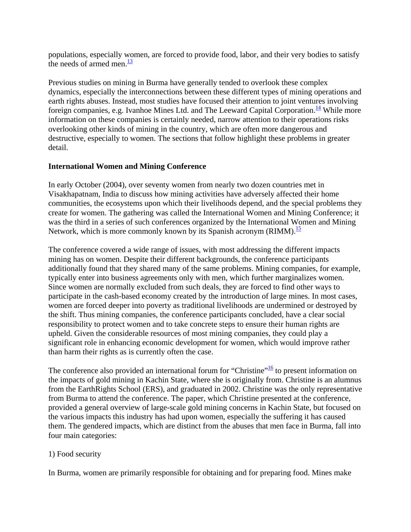populations, especially women, are forced to provide food, labor, and their very bodies to satisfy the needs of armed men. $\frac{13}{13}$ 

Previous studies on mining in Burma have generally tended to overlook these complex dynamics, especially the interconnections between these different types of mining operations and earth rights abuses. Instead, most studies have focused their attention to joint ventures involving foreign companies, e.g. Ivanhoe Mines Ltd. and The Leeward Capital Corporation.<sup>14</sup> While more information on these companies is certainly needed, narrow attention to their operations risks overlooking other kinds of mining in the country, which are often more dangerous and destructive, especially to women. The sections that follow highlight these problems in greater detail.

### **International Women and Mining Conference**

In early October (2004), over seventy women from nearly two dozen countries met in Visakhapatnam, India to discuss how mining activities have adversely affected their home communities, the ecosystems upon which their livelihoods depend, and the special problems they create for women. The gathering was called the International Women and Mining Conference; it was the third in a series of such conferences organized by the International Women and Mining Network, which is more commonly known by its Spanish acronym (RIMM).<sup>15</sup>

The conference covered a wide range of issues, with most addressing the different impacts mining has on women. Despite their different backgrounds, the conference participants additionally found that they shared many of the same problems. Mining companies, for example, typically enter into business agreements only with men, which further marginalizes women. Since women are normally excluded from such deals, they are forced to find other ways to participate in the cash-based economy created by the introduction of large mines. In most cases, women are forced deeper into poverty as traditional livelihoods are undermined or destroyed by the shift. Thus mining companies, the conference participants concluded, have a clear social responsibility to protect women and to take concrete steps to ensure their human rights are upheld. Given the considerable resources of most mining companies, they could play a significant role in enhancing economic development for women, which would improve rather than harm their rights as is currently often the case.

The conference also provided an international forum for "Christine" $\frac{16}{16}$  to present information on the impacts of gold mining in Kachin State, where she is originally from. Christine is an alumnus from the EarthRights School (ERS), and graduated in 2002. Christine was the only representative from Burma to attend the conference. The paper, which Christine presented at the conference, provided a general overview of large-scale gold mining concerns in Kachin State, but focused on the various impacts this industry has had upon women, especially the suffering it has caused them. The gendered impacts, which are distinct from the abuses that men face in Burma, fall into four main categories:

#### 1) Food security

In Burma, women are primarily responsible for obtaining and for preparing food. Mines make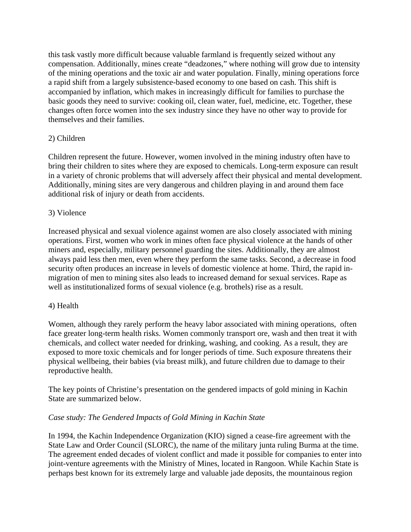this task vastly more difficult because valuable farmland is frequently seized without any compensation. Additionally, mines create "deadzones," where nothing will grow due to intensity of the mining operations and the toxic air and water population. Finally, mining operations force a rapid shift from a largely subsistence-based economy to one based on cash. This shift is accompanied by inflation, which makes in increasingly difficult for families to purchase the basic goods they need to survive: cooking oil, clean water, fuel, medicine, etc. Together, these changes often force women into the sex industry since they have no other way to provide for themselves and their families.

# 2) Children

Children represent the future. However, women involved in the mining industry often have to bring their children to sites where they are exposed to chemicals. Long-term exposure can result in a variety of chronic problems that will adversely affect their physical and mental development. Additionally, mining sites are very dangerous and children playing in and around them face additional risk of injury or death from accidents.

# 3) Violence

Increased physical and sexual violence against women are also closely associated with mining operations. First, women who work in mines often face physical violence at the hands of other miners and, especially, military personnel guarding the sites. Additionally, they are almost always paid less then men, even where they perform the same tasks. Second, a decrease in food security often produces an increase in levels of domestic violence at home. Third, the rapid inmigration of men to mining sites also leads to increased demand for sexual services. Rape as well as institutionalized forms of sexual violence (e.g. brothels) rise as a result.

## 4) Health

Women, although they rarely perform the heavy labor associated with mining operations, often face greater long-term health risks. Women commonly transport ore, wash and then treat it with chemicals, and collect water needed for drinking, washing, and cooking. As a result, they are exposed to more toxic chemicals and for longer periods of time. Such exposure threatens their physical wellbeing, their babies (via breast milk), and future children due to damage to their reproductive health.

The key points of Christine's presentation on the gendered impacts of gold mining in Kachin State are summarized below.

## *Case study: The Gendered Impacts of Gold Mining in Kachin State*

In 1994, the Kachin Independence Organization (KIO) signed a cease-fire agreement with the State Law and Order Council (SLORC), the name of the military junta ruling Burma at the time. The agreement ended decades of violent conflict and made it possible for companies to enter into joint-venture agreements with the Ministry of Mines, located in Rangoon. While Kachin State is perhaps best known for its extremely large and valuable jade deposits, the mountainous region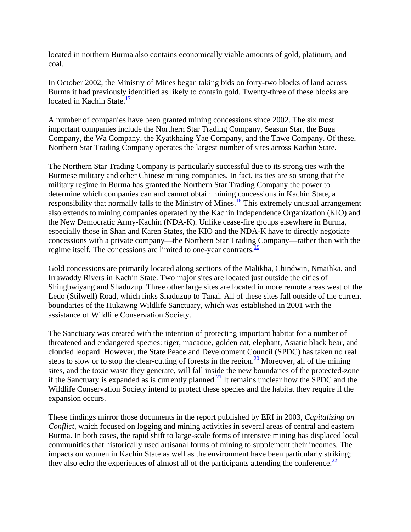located in northern Burma also contains economically viable amounts of gold, platinum, and coal.

In October 2002, the Ministry of Mines began taking bids on forty-two blocks of land across Burma it had previously identified as likely to contain gold. Twenty-three of these blocks are located in Kachin State. $\frac{17}{1}$ 

A number of companies have been granted mining concessions since 2002. The six most important companies include the Northern Star Trading Company, Seasun Star, the Buga Company, the Wa Company, the Kyatkhaing Yae Company, and the Thwe Company. Of these, Northern Star Trading Company operates the largest number of sites across Kachin State.

The Northern Star Trading Company is particularly successful due to its strong ties with the Burmese military and other Chinese mining companies. In fact, its ties are so strong that the military regime in Burma has granted the Northern Star Trading Company the power to determine which companies can and cannot obtain mining concessions in Kachin State, a responsibility that normally falls to the Ministry of Mines.<sup>18</sup> This extremely unusual arrangement also extends to mining companies operated by the Kachin Independence Organization (KIO) and the New Democratic Army-Kachin (NDA-K). Unlike cease-fire groups elsewhere in Burma, especially those in Shan and Karen States, the KIO and the NDA-K have to directly negotiate concessions with a private company—the Northern Star Trading Company—rather than with the regime itself. The concessions are limited to one-year contracts. $\frac{19}{19}$ 

Gold concessions are primarily located along sections of the Malikha, Chindwin, Nmaihka, and Irrawaddy Rivers in Kachin State. Two major sites are located just outside the cities of Shingbwiyang and Shaduzup. Three other large sites are located in more remote areas west of the Ledo (Stilwell) Road, which links Shaduzup to Tanai. All of these sites fall outside of the current boundaries of the Hukawng Wildlife Sanctuary, which was established in 2001 with the assistance of Wildlife Conservation Society.

The Sanctuary was created with the intention of protecting important habitat for a number of threatened and endangered species: tiger, macaque, golden cat, elephant, Asiatic black bear, and clouded leopard. However, the State Peace and Development Council (SPDC) has taken no real steps to slow or to stop the clear-cutting of forests in the region.<sup>20</sup> Moreover, all of the mining sites, and the toxic waste they generate, will fall inside the new boundaries of the protected-zone if the Sanctuary is expanded as is currently planned.<sup>21</sup> It remains unclear how the SPDC and the Wildlife Conservation Society intend to protect these species and the habitat they require if the expansion occurs.

These findings mirror those documents in the report published by ERI in 2003, *Capitalizing on Conflict*, which focused on logging and mining activities in several areas of central and eastern Burma. In both cases, the rapid shift to large-scale forms of intensive mining has displaced local communities that historically used artisanal forms of mining to supplement their incomes. The impacts on women in Kachin State as well as the environment have been particularly striking; they also echo the experiences of almost all of the participants attending the conference.<sup>22</sup>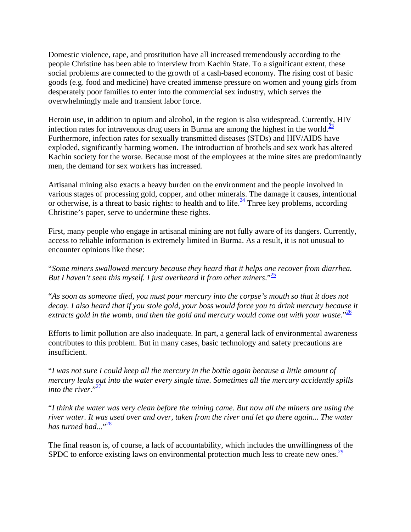Domestic violence, rape, and prostitution have all increased tremendously according to the people Christine has been able to interview from Kachin State. To a significant extent, these social problems are connected to the growth of a cash-based economy. The rising cost of basic goods (e.g. food and medicine) have created immense pressure on women and young girls from desperately poor families to enter into the commercial sex industry, which serves the overwhelmingly male and transient labor force.

Heroin use, in addition to opium and alcohol, in the region is also widespread. Currently, HIV infection rates for intravenous drug users in Burma are among the highest in the world.<sup>23</sup> Furthermore, infection rates for sexually transmitted diseases (STDs) and HIV/AIDS have exploded, significantly harming women. The introduction of brothels and sex work has altered Kachin society for the worse. Because most of the employees at the mine sites are predominantly men, the demand for sex workers has increased.

Artisanal mining also exacts a heavy burden on the environment and the people involved in various stages of processing gold, copper, and other minerals. The damage it causes, intentional or otherwise, is a threat to basic rights: to health and to life. $\frac{24}{3}$  Three key problems, according Christine's paper, serve to undermine these rights.

First, many people who engage in artisanal mining are not fully aware of its dangers. Currently, access to reliable information is extremely limited in Burma. As a result, it is not unusual to encounter opinions like these:

"*Some miners swallowed mercury because they heard that it helps one recover from diarrhea. But I haven't seen this myself. I just overheard it from other miners*."25

"*As soon as someone died, you must pour mercury into the corpse's mouth so that it does not decay. I also heard that if you stole gold, your boss would force you to drink mercury because it*  extracts gold in the womb, and then the gold and mercury would come out with your waste."<sup>26</sup>

Efforts to limit pollution are also inadequate. In part, a general lack of environmental awareness contributes to this problem. But in many cases, basic technology and safety precautions are insufficient.

"*I was not sure I could keep all the mercury in the bottle again because a little amount of mercury leaks out into the water every single time. Sometimes all the mercury accidently spills into the river*." $\frac{27}{2}$ 

"*I think the water was very clean before the mining came. But now all the miners are using the river water. It was used over and over, taken from the river and let go there again... The water has turned bad...*" 28

The final reason is, of course, a lack of accountability, which includes the unwillingness of the SPDC to enforce existing laws on environmental protection much less to create new ones. $\frac{29}{29}$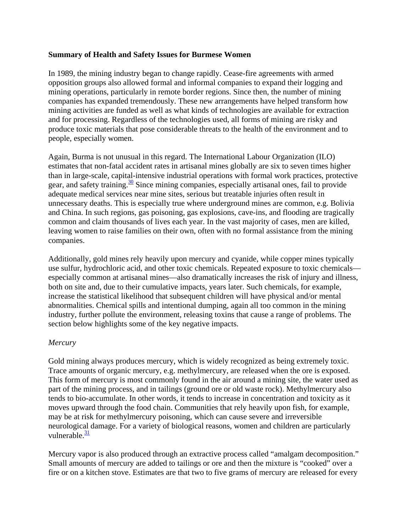## **Summary of Health and Safety Issues for Burmese Women**

In 1989, the mining industry began to change rapidly. Cease-fire agreements with armed opposition groups also allowed formal and informal companies to expand their logging and mining operations, particularly in remote border regions. Since then, the number of mining companies has expanded tremendously. These new arrangements have helped transform how mining activities are funded as well as what kinds of technologies are available for extraction and for processing. Regardless of the technologies used, all forms of mining are risky and produce toxic materials that pose considerable threats to the health of the environment and to people, especially women.

Again, Burma is not unusual in this regard. The International Labour Organization (ILO) estimates that non-fatal accident rates in artisanal mines globally are six to seven times higher than in large-scale, capital-intensive industrial operations with formal work practices, protective gear, and safety training.<sup>30</sup> Since mining companies, especially artisanal ones, fail to provide adequate medical services near mine sites, serious but treatable injuries often result in unnecessary deaths. This is especially true where underground mines are common, e.g. Bolivia and China. In such regions, gas poisoning, gas explosions, cave-ins, and flooding are tragically common and claim thousands of lives each year. In the vast majority of cases, men are killed, leaving women to raise families on their own, often with no formal assistance from the mining companies.

Additionally, gold mines rely heavily upon mercury and cyanide, while copper mines typically use sulfur, hydrochloric acid, and other toxic chemicals. Repeated exposure to toxic chemicals especially common at artisanal mines—also dramatically increases the risk of injury and illness, both on site and, due to their cumulative impacts, years later. Such chemicals, for example, increase the statistical likelihood that subsequent children will have physical and/or mental abnormalities. Chemical spills and intentional dumping, again all too common in the mining industry, further pollute the environment, releasing toxins that cause a range of problems. The section below highlights some of the key negative impacts.

## *Mercury*

Gold mining always produces mercury, which is widely recognized as being extremely toxic. Trace amounts of organic mercury, e.g. methylmercury, are released when the ore is exposed. This form of mercury is most commonly found in the air around a mining site, the water used as part of the mining process, and in tailings (ground ore or old waste rock). Methylmercury also tends to bio-accumulate. In other words, it tends to increase in concentration and toxicity as it moves upward through the food chain. Communities that rely heavily upon fish, for example, may be at risk for methylmercury poisoning, which can cause severe and irreversible neurological damage. For a variety of biological reasons, women and children are particularly vulnerable. $\frac{31}{2}$ 

Mercury vapor is also produced through an extractive process called "amalgam decomposition." Small amounts of mercury are added to tailings or ore and then the mixture is "cooked" over a fire or on a kitchen stove. Estimates are that two to five grams of mercury are released for every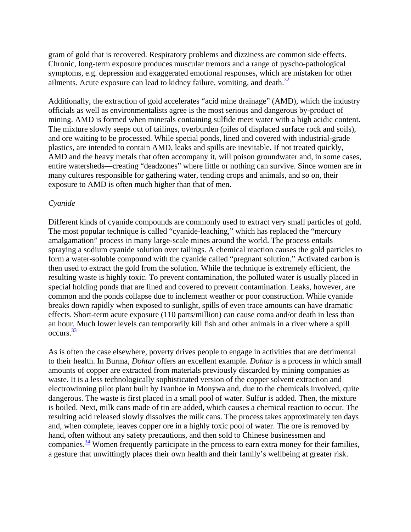gram of gold that is recovered. Respiratory problems and dizziness are common side effects. Chronic, long-term exposure produces muscular tremors and a range of pyscho-pathological symptoms, e.g. depression and exaggerated emotional responses, which are mistaken for other ailments. Acute exposure can lead to kidney failure, vomiting, and death.<sup>32</sup>

Additionally, the extraction of gold accelerates "acid mine drainage" (AMD), which the industry officials as well as environmentalists agree is the most serious and dangerous by-product of mining. AMD is formed when minerals containing sulfide meet water with a high acidic content. The mixture slowly seeps out of tailings, overburden (piles of displaced surface rock and soils), and ore waiting to be processed. While special ponds, lined and covered with industrial-grade plastics, are intended to contain AMD, leaks and spills are inevitable. If not treated quickly, AMD and the heavy metals that often accompany it, will poison groundwater and, in some cases, entire watersheds—creating "deadzones" where little or nothing can survive. Since women are in many cultures responsible for gathering water, tending crops and animals, and so on, their exposure to AMD is often much higher than that of men.

### *Cyanide*

Different kinds of cyanide compounds are commonly used to extract very small particles of gold. The most popular technique is called "cyanide-leaching," which has replaced the "mercury amalgamation" process in many large-scale mines around the world. The process entails spraying a sodium cyanide solution over tailings. A chemical reaction causes the gold particles to form a water-soluble compound with the cyanide called "pregnant solution." Activated carbon is then used to extract the gold from the solution. While the technique is extremely efficient, the resulting waste is highly toxic. To prevent contamination, the polluted water is usually placed in special holding ponds that are lined and covered to prevent contamination. Leaks, however, are common and the ponds collapse due to inclement weather or poor construction. While cyanide breaks down rapidly when exposed to sunlight, spills of even trace amounts can have dramatic effects. Short-term acute exposure (110 parts/million) can cause coma and/or death in less than an hour. Much lower levels can temporarily kill fish and other animals in a river where a spill  $occurs.<sup>33</sup>$ 

As is often the case elsewhere, poverty drives people to engage in activities that are detrimental to their health. In Burma, *Dohtar* offers an excellent example. *Dohtar* is a process in which small amounts of copper are extracted from materials previously discarded by mining companies as waste. It is a less technologically sophisticated version of the copper solvent extraction and electrowinning pilot plant built by Ivanhoe in Monywa and, due to the chemicals involved, quite dangerous. The waste is first placed in a small pool of water. Sulfur is added. Then, the mixture is boiled. Next, milk cans made of tin are added, which causes a chemical reaction to occur. The resulting acid released slowly dissolves the milk cans. The process takes approximately ten days and, when complete, leaves copper ore in a highly toxic pool of water. The ore is removed by hand, often without any safety precautions, and then sold to Chinese businessmen and companies.  $\frac{34}{10}$  Women frequently participate in the process to earn extra money for their families, a gesture that unwittingly places their own health and their family's wellbeing at greater risk.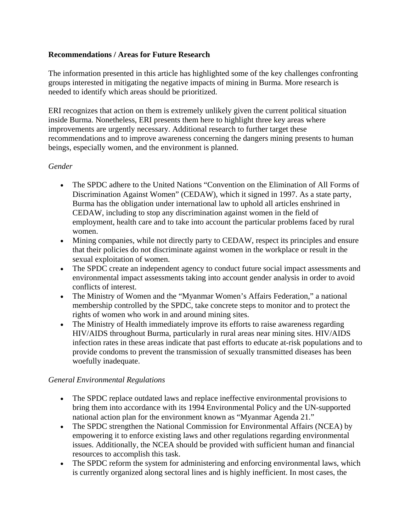# **Recommendations / Areas for Future Research**

The information presented in this article has highlighted some of the key challenges confronting groups interested in mitigating the negative impacts of mining in Burma. More research is needed to identify which areas should be prioritized.

ERI recognizes that action on them is extremely unlikely given the current political situation inside Burma. Nonetheless, ERI presents them here to highlight three key areas where improvements are urgently necessary. Additional research to further target these recommendations and to improve awareness concerning the dangers mining presents to human beings, especially women, and the environment is planned.

# *Gender*

- The SPDC adhere to the United Nations "Convention on the Elimination of All Forms of Discrimination Against Women" (CEDAW), which it signed in 1997. As a state party, Burma has the obligation under international law to uphold all articles enshrined in CEDAW, including to stop any discrimination against women in the field of employment, health care and to take into account the particular problems faced by rural women.
- Mining companies, while not directly party to CEDAW, respect its principles and ensure that their policies do not discriminate against women in the workplace or result in the sexual exploitation of women.
- The SPDC create an independent agency to conduct future social impact assessments and environmental impact assessments taking into account gender analysis in order to avoid conflicts of interest.
- The Ministry of Women and the "Myanmar Women's Affairs Federation," a national membership controlled by the SPDC, take concrete steps to monitor and to protect the rights of women who work in and around mining sites.
- The Ministry of Health immediately improve its efforts to raise awareness regarding HIV/AIDS throughout Burma, particularly in rural areas near mining sites. HIV/AIDS infection rates in these areas indicate that past efforts to educate at-risk populations and to provide condoms to prevent the transmission of sexually transmitted diseases has been woefully inadequate.

## *General Environmental Regulations*

- The SPDC replace outdated laws and replace ineffective environmental provisions to bring them into accordance with its 1994 Environmental Policy and the UN-supported national action plan for the environment known as "Myanmar Agenda 21."
- The SPDC strengthen the National Commission for Environmental Affairs (NCEA) by empowering it to enforce existing laws and other regulations regarding environmental issues. Additionally, the NCEA should be provided with sufficient human and financial resources to accomplish this task.
- The SPDC reform the system for administering and enforcing environmental laws, which is currently organized along sectoral lines and is highly inefficient. In most cases, the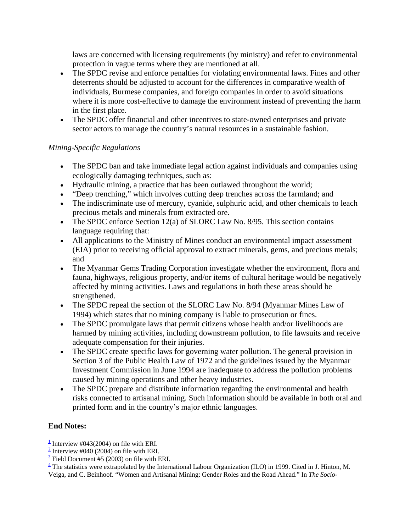laws are concerned with licensing requirements (by ministry) and refer to environmental protection in vague terms where they are mentioned at all.

- The SPDC revise and enforce penalties for violating environmental laws. Fines and other deterrents should be adjusted to account for the differences in comparative wealth of individuals, Burmese companies, and foreign companies in order to avoid situations where it is more cost-effective to damage the environment instead of preventing the harm in the first place.
- The SPDC offer financial and other incentives to state-owned enterprises and private sector actors to manage the country's natural resources in a sustainable fashion.

# *Mining-Specific Regulations*

- The SPDC ban and take immediate legal action against individuals and companies using ecologically damaging techniques, such as:
- Hydraulic mining, a practice that has been outlawed throughout the world;
- "Deep trenching," which involves cutting deep trenches across the farmland; and
- The indiscriminate use of mercury, cyanide, sulphuric acid, and other chemicals to leach precious metals and minerals from extracted ore.
- The SPDC enforce Section 12(a) of SLORC Law No. 8/95. This section contains language requiring that:
- All applications to the Ministry of Mines conduct an environmental impact assessment (EIA) prior to receiving official approval to extract minerals, gems, and precious metals; and
- The Myanmar Gems Trading Corporation investigate whether the environment, flora and fauna, highways, religious property, and/or items of cultural heritage would be negatively affected by mining activities. Laws and regulations in both these areas should be strengthened.
- The SPDC repeal the section of the SLORC Law No. 8/94 (Myanmar Mines Law of 1994) which states that no mining company is liable to prosecution or fines.
- The SPDC promulgate laws that permit citizens whose health and/or livelihoods are harmed by mining activities, including downstream pollution, to file lawsuits and receive adequate compensation for their injuries.
- The SPDC create specific laws for governing water pollution. The general provision in Section 3 of the Public Health Law of 1972 and the guidelines issued by the Myanmar Investment Commission in June 1994 are inadequate to address the pollution problems caused by mining operations and other heavy industries.
- The SPDC prepare and distribute information regarding the environmental and health risks connected to artisanal mining. Such information should be available in both oral and printed form and in the country's major ethnic languages.

# **End Notes:**

<sup>&</sup>lt;sup>1</sup> Interview #043(2004) on file with ERI.

 $\frac{2}{2}$  Interview #040 (2004) on file with ERI.

 $\frac{3}{2}$  Field Document #5 (2003) on file with ERI.

 $\frac{4}{3}$  The statistics were extrapolated by the International Labour Organization (ILO) in 1999. Cited in J. Hinton, M. Veiga, and C. Beinhoof. "Women and Artisanal Mining: Gender Roles and the Road Ahead." In *The Socio-*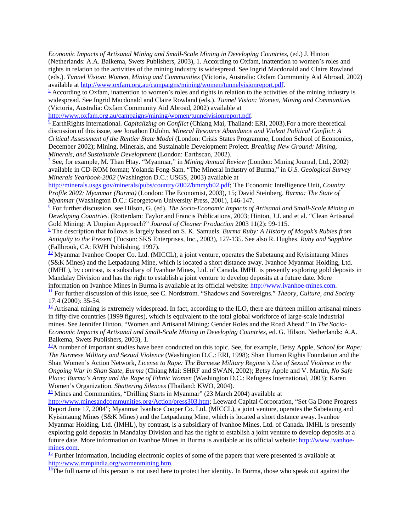*Economic Impacts of Artisanal Mining and Small-Scale Mining in Developing Countries*, (ed.) J. Hinton (Netherlands: A.A. Balkema, Swets Publishers, 2003), 1. According to Oxfam, inattention to women's roles and rights in relation to the activities of the mining industry is widespread. See Ingrid Macdonald and Claire Rowland (eds.). *Tunnel Vision: Women, Mining and Communities* (Victoria, Australia: Oxfam Community Aid Abroad, 2002) available at http://www.oxfam.org.au/campaigns/mining/women/tunnelvisionreport.pdf. <sup>5</sup>

 $\frac{5}{2}$  According to Oxfam, inattention to women's roles and rights in relation to the activities of the mining industry is widespread. See Ingrid Macdonald and Claire Rowland (eds.). *Tunnel Vision: Women, Mining and Communities* (Victoria, Australia: Oxfam Community Aid Abroad, 2002) available at

http://www.oxfam.org.au/campaigns/mining/women/tunnelvisionreport.pdf.

 EarthRights International. *Capitalizing on Conflict* (Chiang Mai, Thailand: ERI, 2003).For a more theoretical discussion of this issue, see Jonathon DiJohn. *Mineral Resource Abundance and Violent Political Conflict: A Critical Assessment of the Rentier State Model* (London: Crisis States Programme, London School of Economics, December 2002); Mining, Minerals, and Sustainable Development Project. *Breaking New Ground: Mining, Minerals, and Sustainable Development* (London: Earthscan, 2002). 7

<sup>7</sup> See, for example, M. Than Htay. "Myanmar," in *Mining Annual Review* (London: Mining Journal, Ltd., 2002) available in CD-ROM format; Yolanda Fong-Sam. "The Mineral Industry of Burma," in *U.S. Geological Survey Minerals Yearbook-2002* (Washington D.C.: USGS, 2003) available at

http://minerals.usgs.gov/minerals/pubs/country/2002/bmmyb02.pdf; The Economic Intelligence Unit, *Country Profile 2002: Myanmar (Burma)* (London: The Economist, 2003), 15; David Steinberg. *Burma: The State of Myanmar* (Washington D.C.: Georgetown University Press, 2001), 146-147.

 For further discussion, see Hilson, G. (ed). *The Socio-Economic Impacts of Artisanal and Small-Scale Mining in Developing Countries*. (Rotterdam: Taylor and Francis Publications, 2003; Hinton, J.J. and et al. "Clean Artisanal Gold Mining: A Utopian Approach?" *Journal of Cleaner Production* 2003 11(2): 99-115.

 The description that follows is largely based on S. K. Samuels. *Burma Ruby: A History of Mogok's Rubies from Antiquity to the Present* (Tucson: SKS Enterprises, Inc., 2003), 127-135. See also R. Hughes. *Ruby and Sapphire* (Fallbrook, CA: RWH Publishing, 1997).

 $\frac{10}{2}$  Myanmar Ivanhoe Cooper Co. Ltd. (MICCL), a joint venture, operates the Sabetaung and Kyisintaung Mines (S&K Mines) and the Letpadaung Mine, which is located a short distance away. Ivanhoe Myanmar Holding, Ltd. (IMHL), by contrast, is a subsidiary of Ivanhoe Mines, Ltd. of Canada. IMHL is presently exploring gold deposits in Mandalay Division and has the right to establish a joint venture to develop deposits at a future date. More information on Ivanhoe Mines in Burma is available at its official website: http://www.ivanhoe-mines.com.

 $\frac{11}{2}$  For further discussion of this issue, see C. Nordstrom. "Shadows and Sovereigns." Theory, Culture, and Society 17:4 (2000): 35-54.

 $\frac{12}{12}$  Artisanal mining is extremely widespread. In fact, according to the ILO, there are thirteen million artisanal miners in fifty-five countries (1999 figures), which is equivalent to the total global workforce of large-scale industrial mines. See Jennifer Hinton, "Women and Artisanal Mining: Gender Roles and the Road Ahead." In *The Socio-Economic Impacts of Artisanal and Small-Scale Mining in Developing Countries*, ed. G. Hilson. Netherlands: A.A. Balkema, Swets Publishers, 2003), 1.

13A number of important studies have been conducted on this topic. See, for example, Betsy Apple, *School for Rape: The Burmese Military and Sexual Violence* (Washington D.C.: ERI, 1998); Shan Human Rights Foundation and the Shan Women's Action Network, *License to Rape: The Burmese Military Regime's Use of Sexual Violence in the Ongoing War in Shan State, Burma* (Chiang Mai: SHRF and SWAN, 2002); Betsy Apple and V. Martin, *No Safe Place: Burma's Army and the Rape of Ethnic Women* (Washington D.C.: Refugees International, 2003); Karen Women's Organization, *Shattering Silences* (Thailand: KWO, 2004).<br><sup>14</sup> Mines and Communities, "Drilling Starts in Myanmar" (23 March 2004) available at

http://www.minesandcommunities.org/Action/press303.htm; Leeward Capital Corporation, "Set Ga Done Progress Report June 17, 2004"; Myanmar Ivanhoe Cooper Co. Ltd. (MICCL), a joint venture, operates the Sabetaung and Kyisintaung Mines (S&K Mines) and the Letpadaung Mine, which is located a short distance away. Ivanhoe Myanmar Holding, Ltd. (IMHL), by contrast, is a subsidiary of Ivanhoe Mines, Ltd. of Canada. IMHL is presently exploring gold deposits in Mandalay Division and has the right to establish a joint venture to develop deposits at a future date. More information on Ivanhoe Mines in Burma is available at its official website: http://www.ivanhoe- $\frac{\text{mines.com}}{15}$  Further information, including electronic copies of some of the papers that were presented is available at

http://www.mmpindia.org/womenmining.htm.<br><sup>16</sup>The full name of this person is not used here to protect her identity. In Burma, those who speak out against the